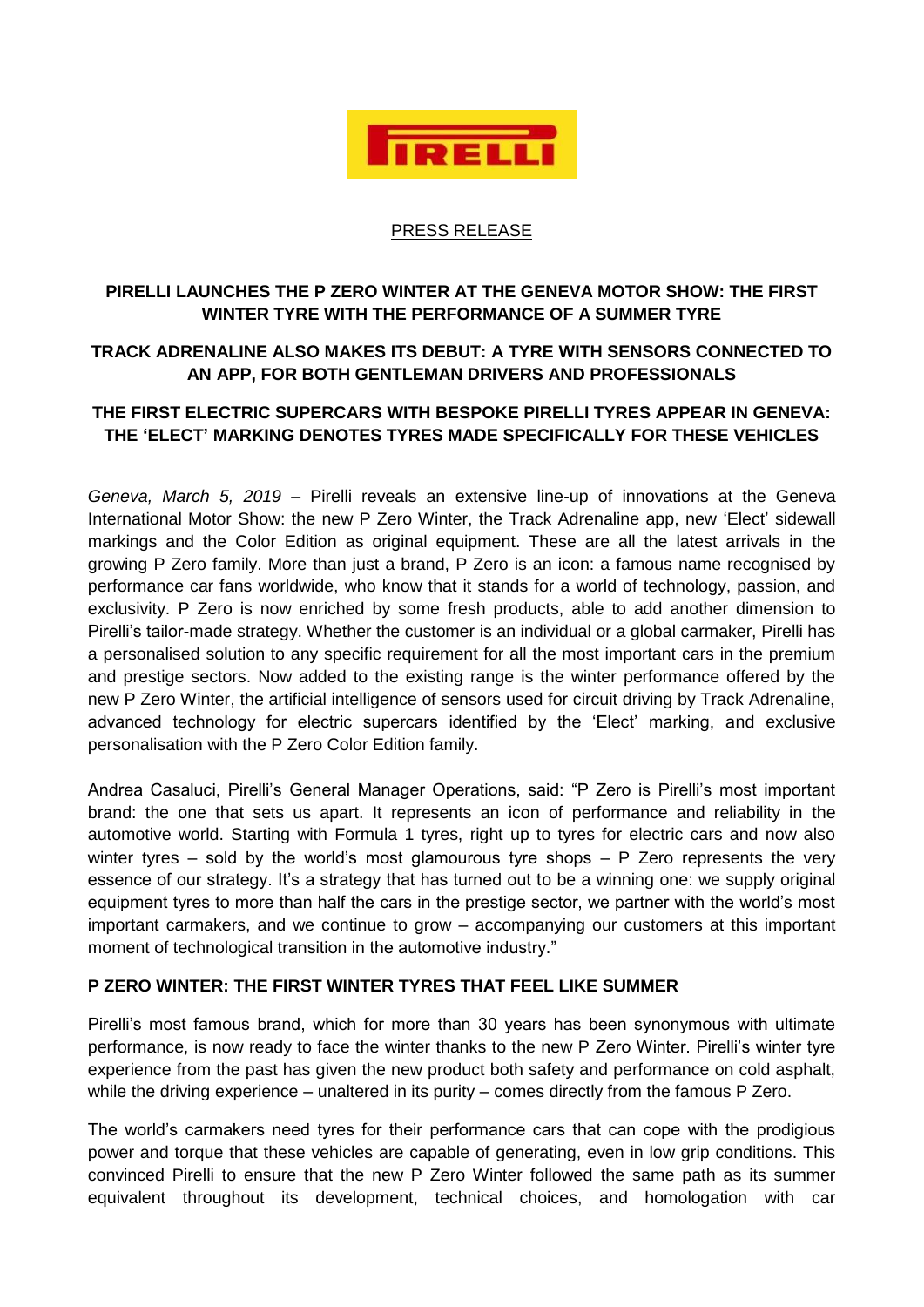

### PRESS RELEASE

# **PIRELLI LAUNCHES THE P ZERO WINTER AT THE GENEVA MOTOR SHOW: THE FIRST WINTER TYRE WITH THE PERFORMANCE OF A SUMMER TYRE**

## **TRACK ADRENALINE ALSO MAKES ITS DEBUT: A TYRE WITH SENSORS CONNECTED TO AN APP, FOR BOTH GENTLEMAN DRIVERS AND PROFESSIONALS**

# **THE FIRST ELECTRIC SUPERCARS WITH BESPOKE PIRELLI TYRES APPEAR IN GENEVA: THE 'ELECT' MARKING DENOTES TYRES MADE SPECIFICALLY FOR THESE VEHICLES**

*Geneva, March 5, 2019* – Pirelli reveals an extensive line-up of innovations at the Geneva International Motor Show: the new P Zero Winter, the Track Adrenaline app, new 'Elect' sidewall markings and the Color Edition as original equipment. These are all the latest arrivals in the growing P Zero family. More than just a brand, P Zero is an icon: a famous name recognised by performance car fans worldwide, who know that it stands for a world of technology, passion, and exclusivity. P Zero is now enriched by some fresh products, able to add another dimension to Pirelli's tailor-made strategy. Whether the customer is an individual or a global carmaker, Pirelli has a personalised solution to any specific requirement for all the most important cars in the premium and prestige sectors. Now added to the existing range is the winter performance offered by the new P Zero Winter, the artificial intelligence of sensors used for circuit driving by Track Adrenaline, advanced technology for electric supercars identified by the 'Elect' marking, and exclusive personalisation with the P Zero Color Edition family.

Andrea Casaluci, Pirelli's General Manager Operations, said: "P Zero is Pirelli's most important brand: the one that sets us apart. It represents an icon of performance and reliability in the automotive world. Starting with Formula 1 tyres, right up to tyres for electric cars and now also winter tyres – sold by the world's most glamourous tyre shops – P Zero represents the very essence of our strategy. It's a strategy that has turned out to be a winning one: we supply original equipment tyres to more than half the cars in the prestige sector, we partner with the world's most important carmakers, and we continue to grow – accompanying our customers at this important moment of technological transition in the automotive industry."

## **P ZERO WINTER: THE FIRST WINTER TYRES THAT FEEL LIKE SUMMER**

Pirelli's most famous brand, which for more than 30 years has been synonymous with ultimate performance, is now ready to face the winter thanks to the new P Zero Winter. Pirelli's winter tyre experience from the past has given the new product both safety and performance on cold asphalt, while the driving experience – unaltered in its purity – comes directly from the famous P Zero.

The world's carmakers need tyres for their performance cars that can cope with the prodigious power and torque that these vehicles are capable of generating, even in low grip conditions. This convinced Pirelli to ensure that the new P Zero Winter followed the same path as its summer equivalent throughout its development, technical choices, and homologation with car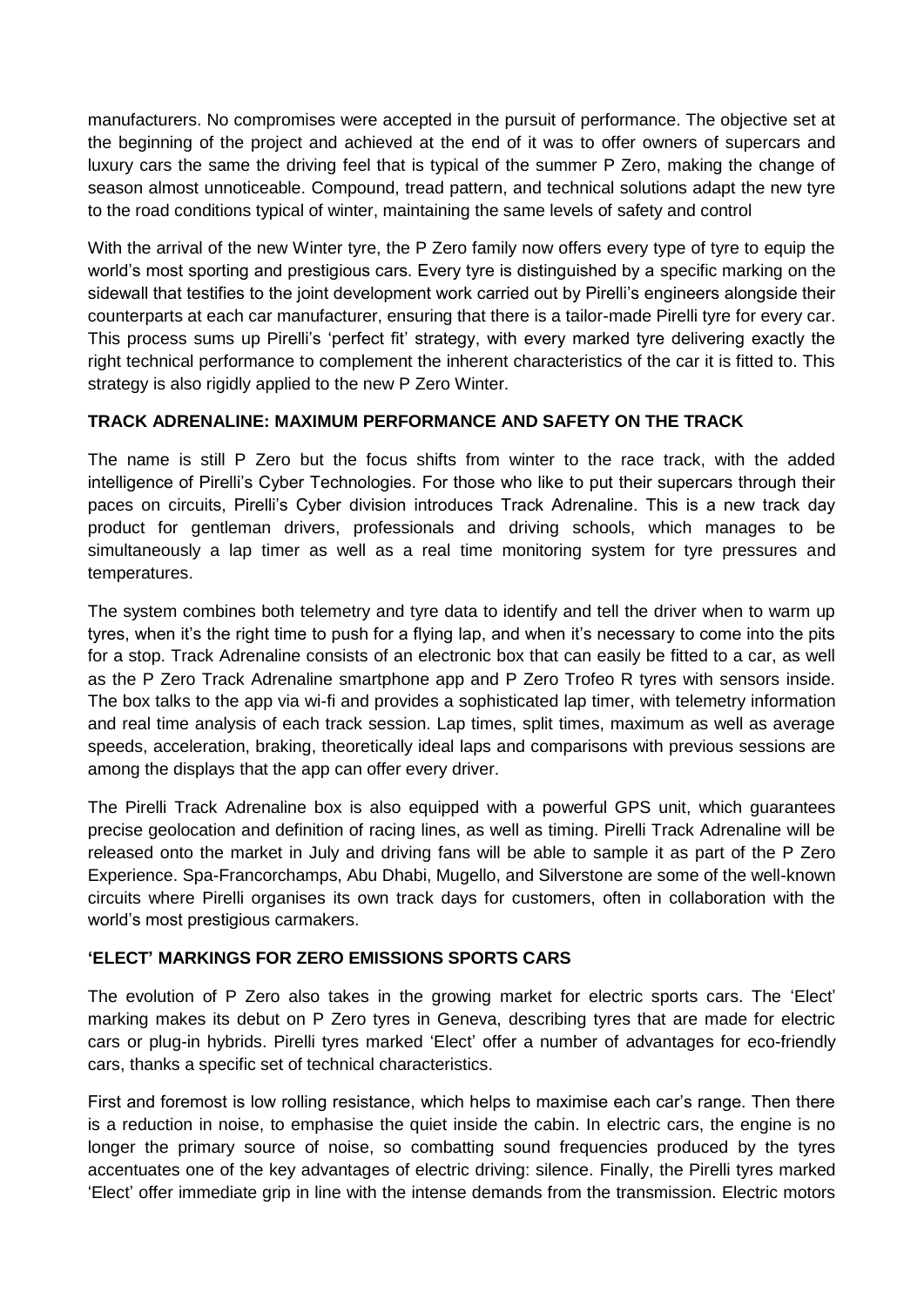manufacturers. No compromises were accepted in the pursuit of performance. The objective set at the beginning of the project and achieved at the end of it was to offer owners of supercars and luxury cars the same the driving feel that is typical of the summer P Zero, making the change of season almost unnoticeable. Compound, tread pattern, and technical solutions adapt the new tyre to the road conditions typical of winter, maintaining the same levels of safety and control

With the arrival of the new Winter tyre, the P Zero family now offers every type of tyre to equip the world's most sporting and prestigious cars. Every tyre is distinguished by a specific marking on the sidewall that testifies to the joint development work carried out by Pirelli's engineers alongside their counterparts at each car manufacturer, ensuring that there is a tailor-made Pirelli tyre for every car. This process sums up Pirelli's 'perfect fit' strategy, with every marked tyre delivering exactly the right technical performance to complement the inherent characteristics of the car it is fitted to. This strategy is also rigidly applied to the new P Zero Winter.

## **TRACK ADRENALINE: MAXIMUM PERFORMANCE AND SAFETY ON THE TRACK**

The name is still P Zero but the focus shifts from winter to the race track, with the added intelligence of Pirelli's Cyber Technologies. For those who like to put their supercars through their paces on circuits, Pirelli's Cyber division introduces Track Adrenaline. This is a new track day product for gentleman drivers, professionals and driving schools, which manages to be simultaneously a lap timer as well as a real time monitoring system for tyre pressures and temperatures.

The system combines both telemetry and tyre data to identify and tell the driver when to warm up tyres, when it's the right time to push for a flying lap, and when it's necessary to come into the pits for a stop. Track Adrenaline consists of an electronic box that can easily be fitted to a car, as well as the P Zero Track Adrenaline smartphone app and P Zero Trofeo R tyres with sensors inside. The box talks to the app via wi-fi and provides a sophisticated lap timer, with telemetry information and real time analysis of each track session. Lap times, split times, maximum as well as average speeds, acceleration, braking, theoretically ideal laps and comparisons with previous sessions are among the displays that the app can offer every driver.

The Pirelli Track Adrenaline box is also equipped with a powerful GPS unit, which guarantees precise geolocation and definition of racing lines, as well as timing. Pirelli Track Adrenaline will be released onto the market in July and driving fans will be able to sample it as part of the P Zero Experience. Spa-Francorchamps, Abu Dhabi, Mugello, and Silverstone are some of the well-known circuits where Pirelli organises its own track days for customers, often in collaboration with the world's most prestigious carmakers.

## **'ELECT' MARKINGS FOR ZERO EMISSIONS SPORTS CARS**

The evolution of P Zero also takes in the growing market for electric sports cars. The 'Elect' marking makes its debut on P Zero tyres in Geneva, describing tyres that are made for electric cars or plug-in hybrids. Pirelli tyres marked 'Elect' offer a number of advantages for eco-friendly cars, thanks a specific set of technical characteristics.

First and foremost is low rolling resistance, which helps to maximise each car's range. Then there is a reduction in noise, to emphasise the quiet inside the cabin. In electric cars, the engine is no longer the primary source of noise, so combatting sound frequencies produced by the tyres accentuates one of the key advantages of electric driving: silence. Finally, the Pirelli tyres marked 'Elect' offer immediate grip in line with the intense demands from the transmission. Electric motors